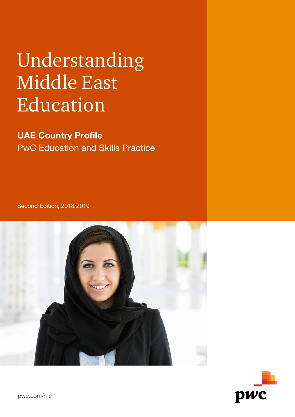# Understanding Middle East Education

UAE Country Profile PwC Education and Skills Practice

Second Edition, 2018/2019



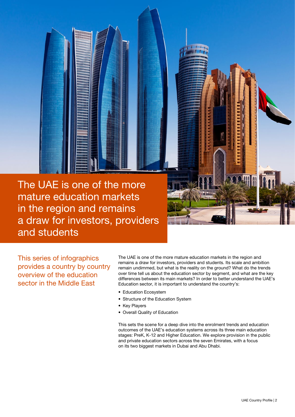The UAE is one of the more mature education markets in the region and remains a draw for investors, providers and students

This series of infographics provides a country by country overview of the education sector in the Middle East

The UAE is one of the more mature education markets in the region and remains a draw for investors, providers and students. Its scale and ambition remain undimmed, but what is the reality on the ground? What do the trends over time tell us about the education sector by segment, and what are the key differences between its main markets? In order to better understand the UAE's Education sector, it is important to understand the country's:

- Education Ecosystem
- Structure of the Education System
- Key Players
- Overall Quality of Education

This sets the scene for a deep dive into the enrolment trends and education outcomes of the UAE's education systems across its three main education stages: PreK, K-12 and Higher Education. We explore provision in the public and private education sectors across the seven Emirates, with a focus on its two biggest markets in Dubai and Abu Dhabi.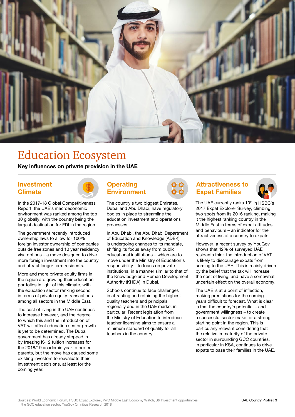

### Education Ecosystem

Key influences on private provision in the UAE

#### Investment **Climate**



In the 2017-18 Global Competitiveness Report, the UAE's macroeconomic environment was ranked among the top 30 globally, with the country being the largest destination for FDI in the region.

The government recently introduced ownership laws to allow for 100% foreign investor ownership of companies outside free zones and 10 year residency visa options – a move designed to drive more foreign investment into the country and attract longer term residents.

More and more private equity firms in the region are growing their education portfolios in light of this climate, with the education sector ranking second in terms of private equity transactions among all sectors in the Middle East.

The cost of living in the UAE continues to increase however, and the degree to which this and the introduction of VAT will affect education sector growth is yet to be determined. The Dubai government has already stepped in by freezing K-12 tuition increases for the 2018/19 academic year to protect parents, but the move has caused some existing investors to reevaluate their investment decisions, at least for the coming year.

### **Operating** Environment

The country's two biggest Emirates, Dubai and Abu Dhabi, have regulatory bodies in place to streamline the education investment and operations processes.

In Abu Dhabi, the Abu Dhabi Department of Education and Knowledge (ADEK) is undergoing changes to its mandate, shifting its focus away from public educational institutions – which are to move under the Ministry of Education's responsibility – to focus on private institutions, in a manner similar to that of the Knowledge and Human Development Authority (KHDA) in Dubai.

Schools continue to face challenges in attracting and retaining the highest quality teachers and principals regionally and in the UAE market in particular. Recent legislation from the Ministry of Education to introduce teacher licensing aims to ensure a minimum standard of quality for all teachers in the country.



#### Attractiveness to Expat Families



The UAE currently ranks 10<sup>th</sup> in HSBC's 2017 Expat Explorer Survey, climbing two spots from its 2016 ranking, making it the highest ranking country in the Middle East in terms of expat attitudes and behaviours – an indicator for the attractiveness of a country to expats.

However, a recent survey by YouGov shows that 42% of surveyed UAE residents think the introduction of VAT is likely to discourage expats from coming to the UAE. This is mainly driven by the belief that the tax will increase the cost of living, and have a somewhat uncertain effect on the overall economy.

The UAE is at a point of inflection, making predictions for the coming years difficult to forecast. What is clear is that the country's potential – and government willingness – to create a successful sector make for a strong starting point in the region. This is particularly relevant considering that the relative immaturity of the private sector in surrounding GCC countries. in particular in KSA, continues to drive expats to base their families in the UAE.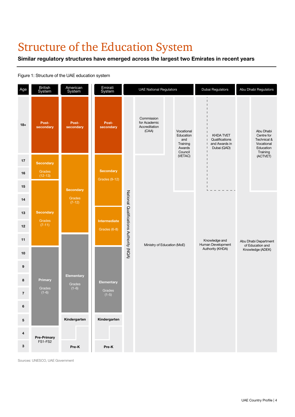### Structure of the Education System

#### Similar regulatory structures have emerged across the largest two Emirates in recent years



#### Figure 1: Structure of the UAE education system

Sources: UNESCO, UAE Government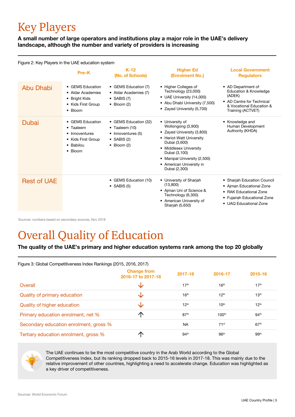## Key Players

A small number of large operators and institutions play a major role in the UAE's delivery landscape, although the number and variety of providers is increasing

Figure 2: Key Players in the UAE education system

|                    | Pre-K                                                                                                    | $K-12$<br>(No. of Schools)                                                                                          | <b>Higher Ed</b><br>(Enrolment No.)                                                                                                                                                                                                      | <b>Local Government</b><br><b>Regulators</b>                                                                                                   |
|--------------------|----------------------------------------------------------------------------------------------------------|---------------------------------------------------------------------------------------------------------------------|------------------------------------------------------------------------------------------------------------------------------------------------------------------------------------------------------------------------------------------|------------------------------------------------------------------------------------------------------------------------------------------------|
| Abu Dhabi          | • GEMS Education<br>• Aldar Academies<br>• Bright Kids<br>• Kids First Group<br>Bloom<br>$\bullet$       | • GEMS Education (7)<br>• Aldar Academies (7)<br>$\bullet$ SABIS (7)<br>$\bullet$ Bloom (2)                         | • Higher Colleges of<br>Technology (23,000)<br>• UAE University (14,000)<br>• Abu Dhabi University (7,500)<br>• Zayed University (5,700)                                                                                                 | • AD Department of<br><b>Education &amp; Knowledge</b><br>(ADEK)<br>• AD Centre for Technical<br>& Vocational Education &<br>Training (ACTVET) |
| Dubai              | • GEMS Education<br>• Taaleem<br>• Innoventures<br>• Kids First Group<br>• Babilou<br>Bloom<br>$\bullet$ | • GEMS Education (32)<br>$\bullet$ Taaleem (10)<br>• Innoventures (5)<br>$\bullet$ SABIS (2)<br>$\bullet$ Bloom (2) | • University of<br>Wollongong (3,900)<br>• Zayed University (3,800)<br>• Heriot-Watt University<br>Dubai (3,600)<br>• Middlesex University<br>Dubai (3,100)<br>• Manipal University (2,500)<br>• American University in<br>Dubai (2,300) | • Knowledge and<br>Human Development<br>Authority (KHDA)                                                                                       |
| <b>Rest of UAE</b> |                                                                                                          | • GEMS Education (10)<br>$\bullet$ SABIS (5)                                                                        | • University of Sharjah<br>(13,800)<br>• Aiman Uni of Science &<br>Technology (6,300)<br>• American University of<br>Sharjah (5,650)                                                                                                     | • Shariah Education Council<br>• Ajman Educational Zone<br>• RAK Educational Zone<br>• Fujairah Educational Zone<br>• UAQ Educational Zone     |

Sources: numbers based on secondary sources, Nov 2018

### Overall Quality of Education

#### The quality of the UAE's primary and higher education systems rank among the top 20 globally

| Figure 3: Global Competitiveness Index Rankings (2015, 2016, 2017) |                                          |                  |                   |                  |  |
|--------------------------------------------------------------------|------------------------------------------|------------------|-------------------|------------------|--|
|                                                                    | <b>Change from</b><br>2016-17 to 2017-18 | 2017-18          | 2016-17           | 2015-16          |  |
| Overall                                                            |                                          | 17 <sup>th</sup> | 16 <sup>th</sup>  | 17 <sup>th</sup> |  |
| Quality of primary education                                       |                                          | 16 <sup>th</sup> | 12 <sup>th</sup>  | 13 <sup>th</sup> |  |
| Quality of higher education                                        |                                          | 12 <sup>th</sup> | 10 <sup>th</sup>  | 12 <sup>th</sup> |  |
| Primary education enrolment, net %                                 |                                          | 87 <sup>th</sup> | 100 <sup>th</sup> | 94 <sup>th</sup> |  |
| Secondary education enrolment, gross %                             |                                          | <b>NA</b>        | 71 <sup>st</sup>  | 67 <sup>th</sup> |  |
| Tertiary education enrolment, gross %                              |                                          | 94 <sup>th</sup> | 96 <sup>th</sup>  | 99 <sup>th</sup> |  |



The UAE continues to be the most competitive country in the Arab World according to the Global Competitiveness Index, but its ranking dropped back to 2015-16 levels in 2017-18. This was mainly due to the relative improvement of other countries, highlighting a need to accelerate change. Education was highlighted as a key driver of competitiveness.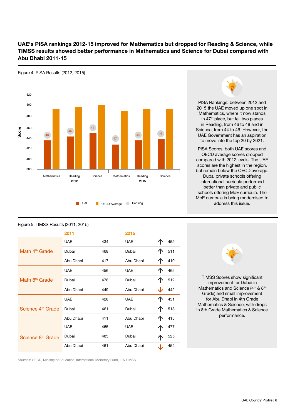#### UAE's PISA rankings 2012-15 improved for Mathematics but dropped for Reading & Science, while TIMSS results showed better performance in Mathematics and Science for Dubai compared with Abu Dhabi 2011-15



PISA Rankings: between 2012 and 2015 the UAE moved up one spot in Mathematics, where it now stands in 47<sup>th</sup> place, but fell two places in Reading, from 46 to 48 and in Science, from 44 to 46. However, the UAE Government has an aspiration to move into the top 20 by 2021.

PISA Scores: both UAE scores and OECD average scores dropped compared with 2012 levels. The UAE scores are the highest in the region, but remain below the OECD average. Dubai private schools offering international curricula performed better than private and public schools offering MoE curricula. The MoE curricula is being modernised to address this issue.

#### Figure 5: TIMSS Results (2011, 2015)

|                               | 2011       |     | 2015       |     |
|-------------------------------|------------|-----|------------|-----|
|                               | <b>UAE</b> | 434 | <b>UAE</b> | 452 |
| Math 4 <sup>th</sup> Grade    | Dubai      | 468 | Dubai      | 511 |
|                               | Abu Dhabi  | 417 | Abu Dhabi  | 419 |
|                               | <b>UAE</b> | 456 | <b>UAE</b> | 465 |
| Math 8 <sup>th</sup> Grade    | Dubai      | 478 | Dubai      | 512 |
|                               | Abu Dhabi  | 449 | Abu Dhabi  | 442 |
|                               | <b>UAE</b> | 428 | <b>UAE</b> | 451 |
| Science 4 <sup>th</sup> Grade | Dubai      | 461 | Dubai      | 518 |
|                               | Abu Dhabi  | 411 | Abu Dhabi  | 415 |
|                               | <b>UAE</b> | 465 | <b>UAE</b> | 477 |
| Science 8 <sup>th</sup> Grade | Dubai      | 485 | Dubai      | 525 |
|                               | Abu Dhabi  | 461 | Abu Dhabi  | 454 |



TIMSS Scores show significant improvement for Dubai in Mathematics and Science (4<sup>th</sup> & 8<sup>th</sup> Grade) and small improvement for Abu Dhabi in 4th Grade Mathematics & Science, with drops in 8th Grade Mathematics & Science performance.

Sources: OECD, Ministry of Education, International Monetary Fund, IEA TIMSS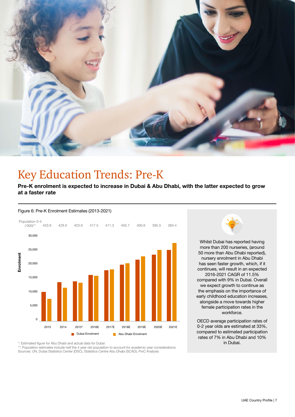

### Key Education Trends: Pre-K

Pre-K enrolment is expected to increase in Dubai & Abu Dhabi, with the latter expected to grow at a faster rate

#### Figure 6: Pre-K Enrolment Estimates (2013-2021)



Whilst Dubai has reported having

more than 200 nurseries, (around 50 more than Abu Dhabi reported), nursery enrolment in Abu Dhabi has seen faster growth, which, if it continues, will result in an expected 2016-2021 CAGR of 11.5% compared with 9% in Dubai. Overall we expect growth to continue as the emphasis on the importance of early childhood education increases, alongside a move towards higher female participation rates in the workforce.

OECD average participation rates of 0-2 year olds are estimated at 33%, compared to estimated participation rates of 7% in Abu Dhabi and 10% in Dubai.

\*: Estimated figure for Abu Dhabi and actual data for Dubai

\*\*: Population estimates include half the 4 year old population to account for academic year considerations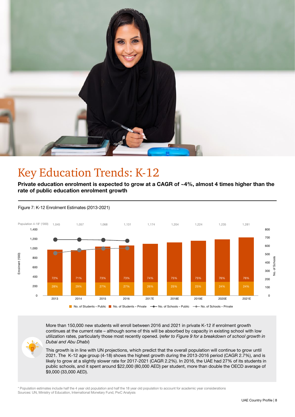

### Key Education Trends: K-12

Private education enrolment is expected to grow at a CAGR of ~4%, almost 4 times higher than the rate of public education enrolment growth



Figure 7: K-12 Enrolment Estimates (2013-2021)

More than 150,000 new students will enroll between 2016 and 2021 in private K-12 if enrolment growth continues at the current rate – although some of this will be absorbed by capacity in existing school with low utilization rates, particularly those most recently opened. (*refer to Figure 9 for a breakdown of school growth in Dubai and Abu Dhabi*)

This growth is in line with UN projections, which predict that the overall population will continue to grow until 2021. The K-12 age group (4-18) shows the highest growth during the 2013-2016 period (CAGR 2.7%), and is likely to grow at a slightly slower rate for 2017-2021 (CAGR 2.2%). In 2016, the UAE had 27% of its students in public schools, and it spent around \$22,000 (80,000 AED) per student, more than double the OECD average of \$9,000 (33,000 AED).

\* Population estimates include half the 4 year old population and half the 18 year old population to account for academic year considerations Sources: UN, Ministry of Education, International Monetary Fund, PwC Analysis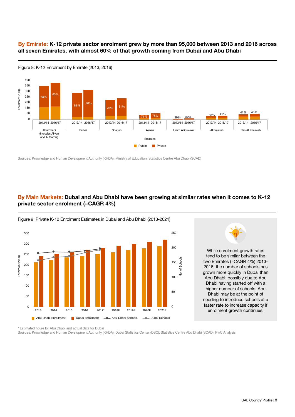#### By Emirate: K-12 private sector enrolment grew by more than 95,000 between 2013 and 2016 across all seven Emirates, with almost 60% of that growth coming from Dubai and Abu Dhabi



Figure 8: K-12 Enrolment by Emirate (2013, 2016)

#### By Main Markets: Dubai and Abu Dhabi have been growing at similar rates when it comes to K-12 private sector enrolment (~CAGR 4%)



Figure 9: Private K-12 Enrolment Estimates in Dubai and Abu Dhabi (2013-2021)

\* Estimated figure for Abu Dhabi and actual data for Dubai

Sources: Knowledge and Human Development Authority (KHDA), Dubai Statistics Center (DSC), Statistics Centre Abu Dhabi (SCAD), PwC Analysis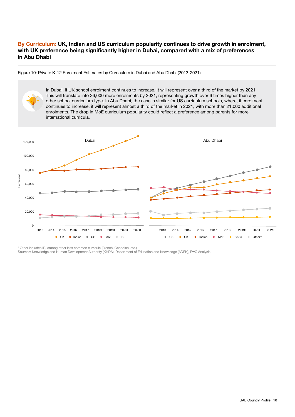#### By Curriculum: UK, Indian and US curriculum popularity continues to drive growth in enrolment, with UK preference being significantly higher in Dubai, compared with a mix of preferences in Abu Dhabi

Figure 10: Private K-12 Enrolment Estimates by Curriculum in Dubai and Abu Dhabi (2013-2021)

In Dubai, if UK school enrolment continues to increase, it will represent over a third of the market by 2021. This will translate into 26,000 more enrolments by 2021, representing growth over 6 times higher than any other school curriculum type. In Abu Dhabi, the case is similar for US curriculum schools, where, if enrolment continues to increase, it will represent almost a third of the market in 2021, with more than 21,000 additional enrolments. The drop in MoE curriculum popularity could reflect a preference among parents for more international curricula. DubaiAbu Dhabi 120,000 100,000 80,000 Enrolment Enrolment 60,000 40,000 20,000 0 2017 2018E 2019E 2020E 2021E 2013 2014 2015 2016 2013 2014 2015 2016 2017 2018E 2019E 2020E 2021E  $UK \rightarrow$ -Indian  $\rightarrow$ -US  $\rightarrow$ -MoE  $\rightarrow$ -IB  $\leftarrow$  US  $\leftarrow$  UK  $\leftarrow$  Indian  $\leftarrow$  MoE  $\leftarrow$  SABIS  $\leftarrow$  Other\*

\* Other includes IB, among other less common curricula (French, Canadian, etc.)

Sources: Knowledge and Human Development Authority (KHDA), Department of Education and Knowledge (ADEK), PwC Analysis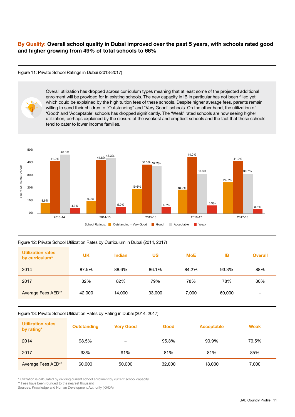#### By Quality: Overall school quality in Dubai improved over the past 5 years, with schools rated good and higher growing from 49% of total schools to 66%

#### Figure 11: Private School Ratings in Dubai (2013-2017)



Overall utilization has dropped across curriculum types meaning that at least some of the projected additional enrolment will be provided for in existing schools. The new capacity in IB in particular has not been filled yet, which could be explained by the high tuition fees of these schools. Despite higher average fees, parents remain willing to send their children to "Outstanding" and "Very Good" schools. On the other hand, the utilization of 'Good' and 'Acceptable' schools has dropped significantly. The 'Weak' rated schools are now seeing higher utilization, perhaps explained by the closure of the weakest and emptiest schools and the fact that these schools tend to cater to lower income families.



#### Figure 12: Private School Utilization Rates by Curriculum in Dubai (2014, 2017)

| <b>Utilization rates</b><br>by curriculum* | <b>UK</b> | <b>Indian</b> | US     | <b>MoE</b> | IΒ     | <b>Overall</b> |
|--------------------------------------------|-----------|---------------|--------|------------|--------|----------------|
| 2014                                       | 87.5%     | 88.6%         | 86.1%  | 84.2%      | 93.3%  | 88%            |
| 2017                                       | 82%       | 82%           | 79%    | 78%        | 78%    | 80%            |
| Average Fees AED**                         | 42,000    | 14.000        | 33,000 | 7,000      | 69,000 | -              |

#### Figure 13: Private School Utilization Rates by Rating in Dubai (2014, 2017)

| <b>Utilization rates</b><br>by rating* | <b>Outstanding</b> | <b>Very Good</b> | Good   | Acceptable | <b>Weak</b> |
|----------------------------------------|--------------------|------------------|--------|------------|-------------|
| 2014                                   | 98.5%              |                  | 95.3%  | 90.9%      | 79.5%       |
| 2017                                   | 93%                | 91%              | 81%    | 81%        | 85%         |
| Average Fees AED**                     | 60,000             | 50,000           | 32,000 | 18,000     | 7,000       |

\* Utilization is calculated by dividing current school enrolment by current school capacity

\*\* Fees have been rounded to the nearest thousand

Sources: Knowledge and Human Development Authority (KHDA)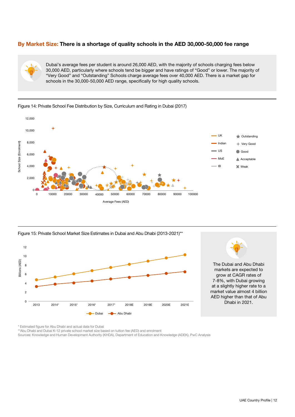#### By Market Size: There is a shortage of quality schools in the AED 30,000-50,000 fee range



Dubai's average fees per student is around 26,000 AED, with the majority of schools charging fees below 30,000 AED, particularly where schools tend be bigger and have ratings of "Good" or lower. The majority of "Very Good" and "Outstanding" Schools charge average fees over 40,000 AED. There is a market gap for schools in the 30,000-50,000 AED range, specifically for high quality schools.



#### Figure 14: Private School Fee Distribution by Size, Curriculum and Rating in Dubai (2017)

Figure 15: Private School Market Size Estimates in Dubai and Abu Dhabi (2013-2021)\*\*





The Dubai and Abu Dhabi markets are expected to grow at CAGR rates of 7-8%, with Dubai growing at a slightly higher rate to a market value almost 4 billion AED higher than that of Abu

\* Estimated figure for Abu Dhabi and actual data for Dubai

\*\*Abu Dhabi and Dubai K-12 private school market size based on tuition fee (AED) and enrolment

Sources: Knowledge and Human Development Authority (KHDA), Department of Education and Knowledge (ADEK), PwC Analysis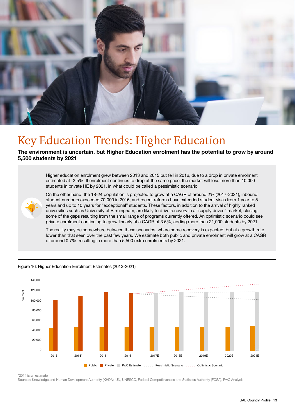

### Key Education Trends: Higher Education

#### The environment is uncertain, but Higher Education enrolment has the potential to grow by around 5,500 students by 2021

Higher education enrolment grew between 2013 and 2015 but fell in 2016, due to a drop in private enrolment estimated at -2.5%. If enrolment continues to drop at the same pace, the market will lose more than 10,000 students in private HE by 2021, in what could be called a pessimistic scenario.



On the other hand, the 18-24 population is projected to grow at a CAGR of around 2% (2017-2021), inbound student numbers exceeded 70,000 in 2016, and recent reforms have extended student visas from 1 year to 5 years and up to 10 years for "exceptional" students. These factors, in addition to the arrival of highly ranked universities such as University of Birmingham, are likely to drive recovery in a "supply driven" market, closing some of the gaps resulting from the small range of programs currently offered. An optimistic scenario could see private enrolment continuing to grow linearly at a CAGR of 3.5%, adding more than 21,000 students by 2021.

The reality may be somewhere between these scenarios, where some recovery is expected, but at a growth rate lower than that seen over the past few years. We estimate both public and private enrolment will grow at a CAGR of around 0.7%, resulting in more than 5,500 extra enrolments by 2021.



Figure 16: Higher Education Enrolment Estimates (2013-2021)

\*2014 is an estimate

Sources: Knowledge and Human Development Authority (KHDA), UN, UNESCO, Federal Competitiveness and Statistics Authority (FCSA), PwC Analysis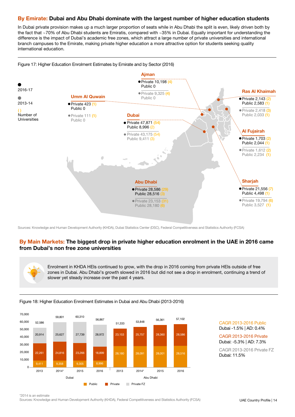#### By Emirate: Dubai and Abu Dhabi dominate with the largest number of higher education students

In Dubai private provision makes up a much larger proportion of seats while in Abu Dhabi the split is even, likely driven both by the fact that ~70% of Abu Dhabi students are Emiratis, compared with ~35% in Dubai. Equally important for understanding the difference is the impact of Dubai's academic free zones, which attract a large number of private universities and international branch campuses to the Emirate, making private higher education a more attractive option for students seeking quality international education.



Sources: Knowledge and Human Development Authority (KHDA), Dubai Statistics Center (DSC), Federal Competitiveness and Statistics Authority (FCSA)

#### By Main Markets: The biggest drop in private higher education enrolment in the UAE in 2016 came from Dubai's non free zone universities

Enrolment in KHDA HEIs continued to grow, with the drop in 2016 coming from private HEIs outside of free zones in Dubai. Abu Dhabi's growth slowed in 2016 but did not see a drop in enrolment, continuing a trend of slower yet steady increase over the past 4 years.



#### Figure 18: Higher Education Enrolment Estimates in Dubai and Abu Dhabi (2013-2016)

CAGR 2013-2016 Public Dubai -1.5% | AD: 0.4%

CAGR 2013-2016 Private Dubai: -5.3% | AD: 7.3%

CAGR 2013-2016 Private FZ Dubai: 11.5%

\*2014 is an estimate

Sources: Knowledge and Human Development Authority (KHDA), Federal Competitiveness and Statistics Authority (FCSA)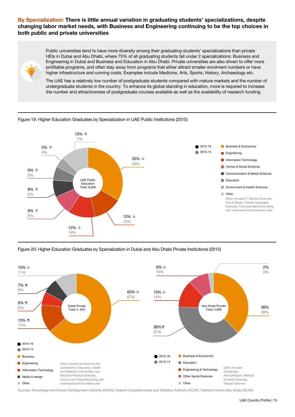#### By Specialization: There is little annual variation in graduating students' specializations, despite changing labor market needs, with Business and Engineering continuing to be the top choices in both public and private universities



Public universities tend to have more diversity among their graduating students' specializations than private HEIs in Dubai and Abu Dhabi, where 75% of all graduating students fall under 2 specializations: Business and Engineering in Dubai and Business and Education in Abu Dhabi. Private universities are also driven to offer more profitable programs, and often stay away from programs that either attract smaller enrolment numbers or have higher infrastructure and running costs. Examples include Medicine, Arts, Sports, History, Archaeology etc.

The UAE has a relatively low number of postgraduate students compared with mature markets and the number of undergraduate students in the country. To enhance its global standing in education, more is required to increase the number and attractiveness of postgraduate courses available as well as the availability of research funding.

#### Figure 19: Higher Education Graduates by Specialization in UAE Public Institutions (2015)



Figure 20: Higher Education Graduates by Specialization in Dubai and Abu Dhabi Private Institutions (2015)



Sources: Knowledge and Human Development Authority (KHDA), Federal Competitiveness and Statistics Authority (FCSA), Statistics Centre Abu Dhabi (SCAD)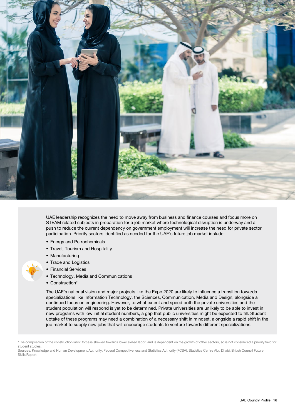

UAE leadership recognizes the need to move away from business and finance courses and focus more on STEAM related subjects in preparation for a job market where technological disruption is underway and a push to reduce the current dependency on government employment will increase the need for private sector participation. Priority sectors identified as needed for the UAE's future job market include:

- Energy and Petrochemicals
- Travel, Tourism and Hospitality
- Manufacturing
- Trade and Logistics
- Financial Services
- Technology, Media and Communications
- Construction\*

The UAE's national vision and major projects like the Expo 2020 are likely to influence a transition towards specializations like Information Technology, the Sciences, Communication, Media and Design, alongside a continued focus on engineering. However, to what extent and speed both the private universities and the student population will respond is yet to be determined. Private universities are unlikely to be able to invest in new programs with low initial student numbers, a gap that public universities might be expected to fill. Student uptake of these programs may need a combination of a necessary shift in mindset, alongside a rapid shift in the job market to supply new jobs that will encourage students to venture towards different specializations.

<sup>\*</sup>The composition of the construction labor force is skewed towards lower skilled labor, and is dependent on the growth of other sectors, so is not considered a priority field for student studies.

Sources: Knowledge and Human Development Authority, Federal Competitiveness and Statistics Authority (FCSA), Statistics Centre Abu Dhabi, British Council Future Skills Report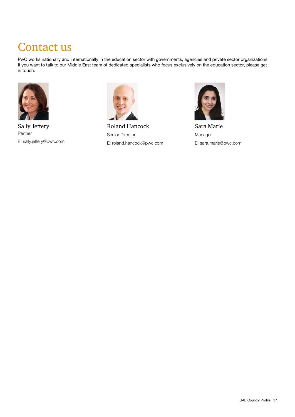### Contact us

PwC works nationally and internationally in the education sector with governments, agencies and private sector organizations. If you want to talk to our Middle East team of dedicated specialists who focus exclusively on the education sector, please get in touch.



Sally Jeffery Partner E: sally.jeffery@pwc.com



Roland Hancock Senior Director E: roland.hancock@pwc.com



Sara Marie Manager E: sara.marie@pwc.com